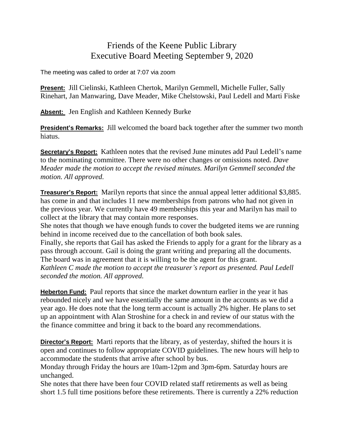## Friends of the Keene Public Library Executive Board Meeting September 9, 2020

The meeting was called to order at 7:07 via zoom

**Present:** Jill Cielinski, Kathleen Chertok, Marilyn Gemmell, Michelle Fuller, Sally Rinehart, Jan Manwaring, Dave Meader, Mike Chelstowski, Paul Ledell and Marti Fiske

**Absent:** Jen English and Kathleen Kennedy Burke

**President's Remarks:** Jill welcomed the board back together after the summer two month hiatus.

**Secretary's Report:** Kathleen notes that the revised June minutes add Paul Ledell's name to the nominating committee. There were no other changes or omissions noted. *Dave Meader made the motion to accept the revised minutes. Marilyn Gemmell seconded the motion. All approved.*

**Treasurer's Report:** Marilyn reports that since the annual appeal letter additional \$3,885. has come in and that includes 11 new memberships from patrons who had not given in the previous year. We currently have 49 memberships this year and Marilyn has mail to collect at the library that may contain more responses.

She notes that though we have enough funds to cover the budgeted items we are running behind in income received due to the cancellation of both book sales.

Finally, she reports that Gail has asked the Friends to apply for a grant for the library as a pass through account. Gail is doing the grant writing and preparing all the documents. The board was in agreement that it is willing to be the agent for this grant.

*Kathleen C made the motion to accept the treasurer's report as presented. Paul Ledell seconded the motion. All approved.* 

**Heberton Fund:** Paul reports that since the market downturn earlier in the year it has rebounded nicely and we have essentially the same amount in the accounts as we did a year ago. He does note that the long term account is actually 2% higher. He plans to set up an appointment with Alan Stroshine for a check in and review of our status with the the finance committee and bring it back to the board any recommendations.

**Director's Report:** Marti reports that the library, as of yesterday, shifted the hours it is open and continues to follow appropriate COVID guidelines. The new hours will help to accommodate the students that arrive after school by bus.

Monday through Friday the hours are 10am-12pm and 3pm-6pm. Saturday hours are unchanged.

She notes that there have been four COVID related staff retirements as well as being short 1.5 full time positions before these retirements. There is currently a 22% reduction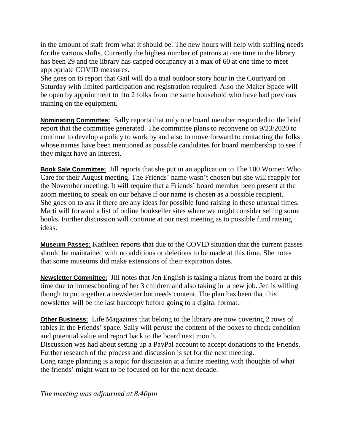in the amount of staff from what it should be. The new hours will help with staffing needs for the various shifts. Currently the highest number of patrons at one time in the library has been 29 and the library has capped occupancy at a max of 60 at one time to meet appropriate COVID measures.

She goes on to report that Gail will do a trial outdoor story hour in the Courtyard on Saturday with limited participation and registration required. Also the Maker Space will be open by appointment to 1to 2 folks from the same household who have had previous training on the equipment.

**Nominating Committee:** Sally reports that only one board member responded to the brief report that the committee generated. The committee plans to reconvene on 9/23/2020 to continue to develop a policy to work by and also to move forward to contacting the folks whose names have been mentioned as possible candidates for board membership to see if they might have an interest.

**Book Sale Committee:** Jill reports that she put in an application to The 100 Women Who Care for their August meeting. The Friends' name wasn't chosen but she will reapply for the November meeting. It will require that a Friends' board member been present at the zoom meeting to speak on our behave if our name is chosen as a possible recipient. She goes on to ask if there are any ideas for possible fund raising in these unusual times. Marti will forward a list of online bookseller sites where we might consider selling some books. Further discussion will continue at our next meeting as to possible fund raising ideas.

**Museum Passes:** Kathleen reports that due to the COVID situation that the current passes should be maintained with no additions or deletions to be made at this time. She notes that some museums did make extensions of their expiration dates.

**Newsletter Committee:** Jill notes that Jen English is taking a hiatus from the board at this time due to homeschooling of her 3 children and also taking in a new job. Jen is willing though to put together a newsletter but needs content. The plan has been that this newsletter will be the last hardcopy before going to a digital format.

**Other Business:** Life Magazines that belong to the library are now covering 2 rows of tables in the Friends' space. Sally will peruse the content of the boxes to check condition and potential value and report back to the board next month.

Discussion was had about setting up a PayPal account to accept donations to the Friends. Further research of the process and discussion is set for the next meeting.

Long range planning is a topic for discussion at a future meeting with thoughts of what the friends' might want to be focused on for the next decade.

*The meeting was adjourned at 8:40pm*